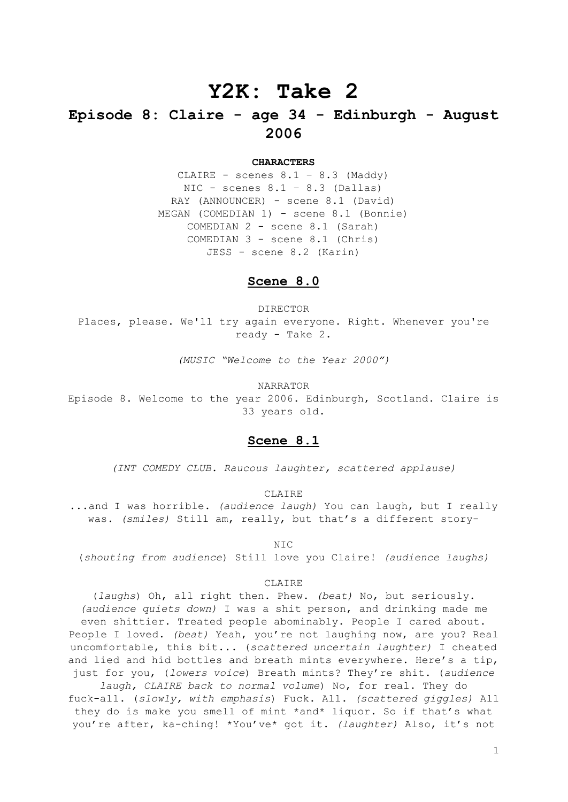# **Y2K: Take 2**

## **Episode 8: Claire - age 34 - Edinburgh - August 2006**

#### **CHARACTERS**

CLAIRE - scenes  $8.1 - 8.3$  (Maddy) NIC - scenes  $8.1 - 8.3$  (Dallas) RAY (ANNOUNCER) - scene 8.1 (David) MEGAN (COMEDIAN 1) - scene 8.1 (Bonnie) COMEDIAN 2 - scene 8.1 (Sarah) COMEDIAN 3 - scene 8.1 (Chris) JESS - scene 8.2 (Karin)

## **Scene 8.0**

DIRECTOR Places, please. We'll try again everyone. Right. Whenever you're ready - Take 2.

*(MUSIC "Welcome to the Year 2000")*

NARRATOR

Episode 8. Welcome to the year 2006. Edinburgh, Scotland. Claire is 33 years old.

## **Scene 8.1**

*(INT COMEDY CLUB. Raucous laughter, scattered applause)*

CLAIRE

...and I was horrible. *(audience laugh)* You can laugh, but I really was. *(smiles)* Still am, really, but that's a different story-

NIC

(*shouting from audience*) Still love you Claire! *(audience laughs)*

#### CLAIRE

(*laughs*) Oh, all right then. Phew. *(beat)* No, but seriously. *(audience quiets down)* I was a shit person, and drinking made me even shittier. Treated people abominably. People I cared about. People I loved. *(beat)* Yeah, you're not laughing now, are you? Real uncomfortable, this bit... (*scattered uncertain laughter)* I cheated and lied and hid bottles and breath mints everywhere. Here's a tip, just for you, (*lowers voice*) Breath mints? They're shit. (*audience laugh, CLAIRE back to normal volume*) No, for real. They do fuck-all. (*slowly, with emphasis*) Fuck. All. *(scattered giggles)* All they do is make you smell of mint \*and\* liquor. So if that's what you're after, ka-ching! \*You've\* got it. *(laughter)* Also, it's not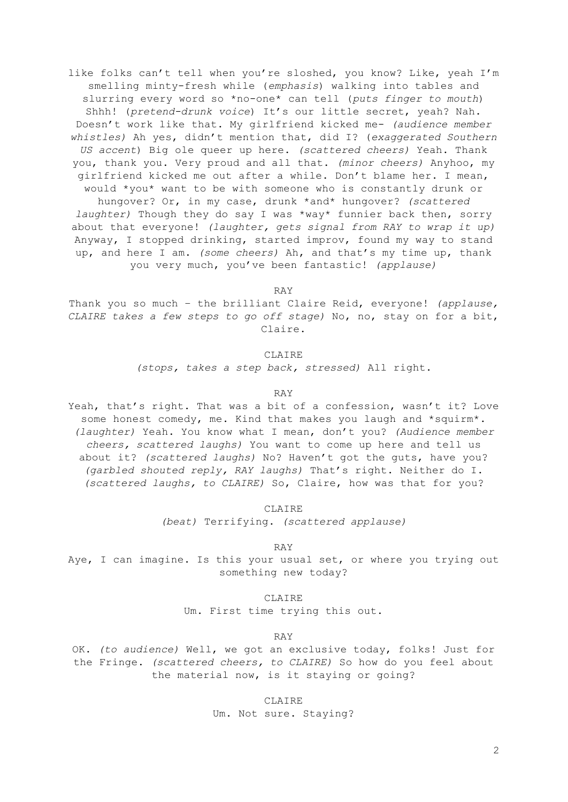like folks can't tell when you're sloshed, you know? Like, yeah I'm smelling minty-fresh while (*emphasis*) walking into tables and slurring every word so \*no-one\* can tell (*puts finger to mouth*) Shhh! (*pretend-drunk voice*) It's our little secret, yeah? Nah. Doesn't work like that. My girlfriend kicked me- *(audience member whistles)* Ah yes, didn't mention that, did I? (*exaggerated Southern US accent*) Big ole queer up here. *(scattered cheers)* Yeah. Thank you, thank you. Very proud and all that. *(minor cheers)* Anyhoo, my girlfriend kicked me out after a while. Don't blame her. I mean, would \*you\* want to be with someone who is constantly drunk or hungover? Or, in my case, drunk \*and\* hungover? *(scattered laughter)* Though they do say I was \*way\* funnier back then, sorry about that everyone! *(laughter, gets signal from RAY to wrap it up)* Anyway, I stopped drinking, started improv, found my way to stand up, and here I am. *(some cheers)* Ah, and that's my time up, thank you very much, you've been fantastic! *(applause)*

RAY

Thank you so much – the brilliant Claire Reid, everyone! *(applause, CLAIRE takes a few steps to go off stage)* No, no, stay on for a bit, Claire.

## CLAIRE

*(stops, takes a step back, stressed)* All right.

#### RAY

Yeah, that's right. That was a bit of a confession, wasn't it? Love some honest comedy, me. Kind that makes you laugh and \*squirm\*. *(laughter)* Yeah. You know what I mean, don't you? *(Audience member cheers, scattered laughs)* You want to come up here and tell us about it? *(scattered laughs)* No? Haven't got the guts, have you? *(garbled shouted reply, RAY laughs)* That's right. Neither do I. *(scattered laughs, to CLAIRE)* So, Claire, how was that for you?

CLAIRE

*(beat)* Terrifying. *(scattered applause)*

RAY

Aye, I can imagine. Is this your usual set, or where you trying out something new today?

#### CLAIRE

Um. First time trying this out.

RAY

OK. *(to audience)* Well, we got an exclusive today, folks! Just for the Fringe. *(scattered cheers, to CLAIRE)* So how do you feel about the material now, is it staying or going?

> CLAIRE Um. Not sure. Staying?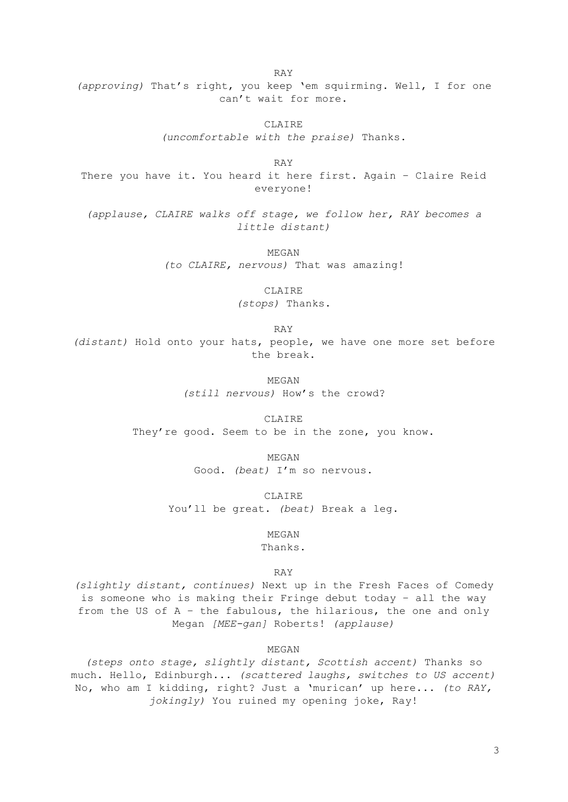RAY *(approving)* That's right, you keep 'em squirming. Well, I for one can't wait for more.

> CLAIRE *(uncomfortable with the praise)* Thanks.

RAY There you have it. You heard it here first. Again – Claire Reid everyone!

*(applause, CLAIRE walks off stage, we follow her, RAY becomes a little distant)*

> MEGAN *(to CLAIRE, nervous)* That was amazing!

> > CLAIRE

*(stops)* Thanks.

RAY

*(distant)* Hold onto your hats, people, we have one more set before the break.

> MEGAN *(still nervous)* How's the crowd?

CLAIRE They're good. Seem to be in the zone, you know.

> MEGAN Good. *(beat)* I'm so nervous.

CLAIRE You'll be great. *(beat)* Break a leg.

> MEGAN Thanks.

> > RAY

*(slightly distant, continues)* Next up in the Fresh Faces of Comedy is someone who is making their Fringe debut today – all the way from the US of A – the fabulous, the hilarious, the one and only Megan *[MEE-gan]* Roberts! *(applause)*

MEGAN

*(steps onto stage, slightly distant, Scottish accent)* Thanks so much. Hello, Edinburgh... *(scattered laughs, switches to US accent)* No, who am I kidding, right? Just a 'murican' up here... *(to RAY, jokingly)* You ruined my opening joke, Ray!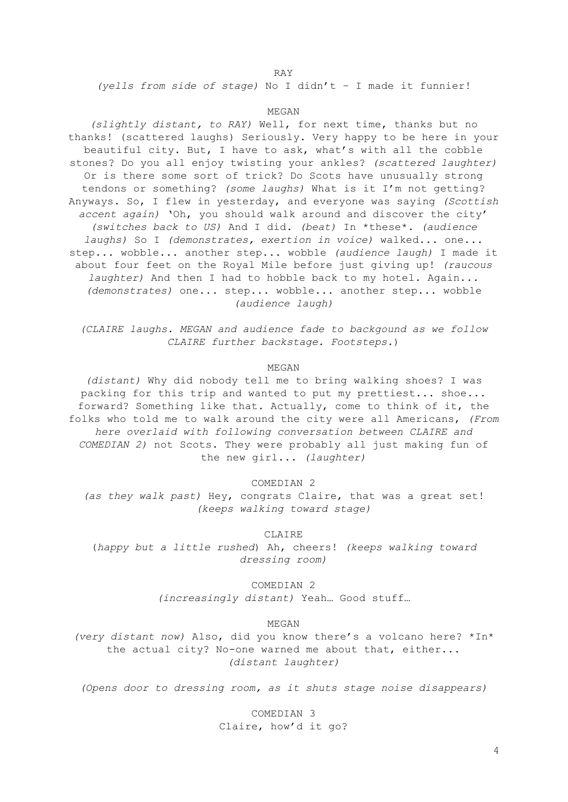#### RAY

*(yells from side of stage)* No I didn't – I made it funnier!

#### MEGAN

*(slightly distant, to RAY)* Well, for next time, thanks but no thanks! (scattered laughs) Seriously. Very happy to be here in your beautiful city. But, I have to ask, what's with all the cobble stones? Do you all enjoy twisting your ankles? *(scattered laughter)* Or is there some sort of trick? Do Scots have unusually strong tendons or something? *(some laughs)* What is it I'm not getting? Anyways. So, I flew in yesterday, and everyone was saying *(Scottish accent again)* 'Oh, you should walk around and discover the city' *(switches back to US)* And I did. *(beat)* In \*these\*. *(audience laughs)* So I *(demonstrates, exertion in voice)* walked... one... step... wobble... another step... wobble *(audience laugh)* I made it about four feet on the Royal Mile before just giving up! *(raucous laughter)* And then I had to hobble back to my hotel. Again... *(demonstrates)* one... step... wobble... another step... wobble *(audience laugh)*

*(CLAIRE laughs. MEGAN and audience fade to backgound as we follow CLAIRE further backstage. Footsteps.*)

MEGAN

*(distant)* Why did nobody tell me to bring walking shoes? I was packing for this trip and wanted to put my prettiest... shoe... forward? Something like that. Actually, come to think of it, the folks who told me to walk around the city were all Americans, *(From here overlaid with following conversation between CLAIRE and COMEDIAN 2)* not Scots. They were probably all just making fun of the new girl... *(laughter)*

COMEDIAN 2

*(as they walk past)* Hey, congrats Claire, that was a great set! *(keeps walking toward stage)*

CLAIRE

(*happy but a little rushed*) Ah, cheers! *(keeps walking toward dressing room)*

> COMEDIAN 2 *(increasingly distant)* Yeah… Good stuff…

> > MEGAN

*(very distant now)* Also, did you know there's a volcano here? \*In\* the actual city? No-one warned me about that, either... *(distant laughter)*

*(Opens door to dressing room, as it shuts stage noise disappears)*

COMEDIAN 3 Claire, how'd it go?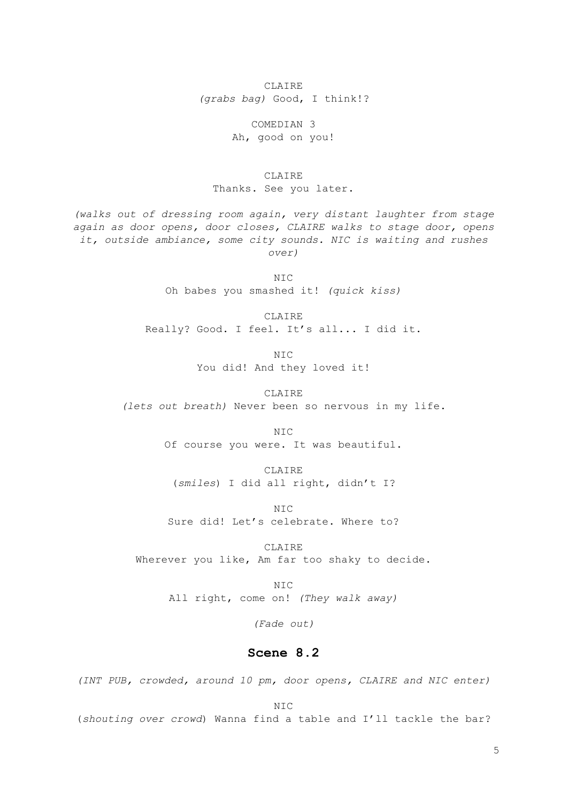CLAIRE *(grabs bag)* Good, I think!?

> COMEDIAN 3 Ah, good on you!

CLAIRE Thanks. See you later.

*(walks out of dressing room again, very distant laughter from stage again as door opens, door closes, CLAIRE walks to stage door, opens it, outside ambiance, some city sounds. NIC is waiting and rushes over)*

> NIC Oh babes you smashed it! *(quick kiss)*

CLAIRE Really? Good. I feel. It's all... I did it.

> NIC You did! And they loved it!

CLAIRE *(lets out breath)* Never been so nervous in my life.

> NIC Of course you were. It was beautiful.

CLAIRE (*smiles*) I did all right, didn't I?

N<sub>TC</sub> Sure did! Let's celebrate. Where to?

CLAIRE Wherever you like, Am far too shaky to decide.

> NIC All right, come on! *(They walk away)*

> > *(Fade out)*

## **Scene 8.2**

*(INT PUB, crowded, around 10 pm, door opens, CLAIRE and NIC enter)*

NIC

(*shouting over crowd*) Wanna find a table and I'll tackle the bar?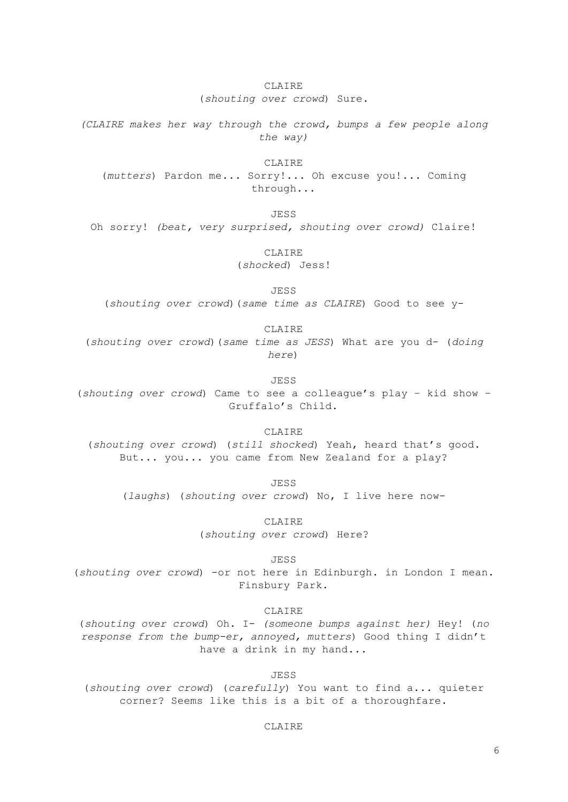### CLAIRE

(*shouting over crowd*) Sure.

*(CLAIRE makes her way through the crowd, bumps a few people along the way)*

CLAIRE

(*mutters*) Pardon me... Sorry!... Oh excuse you!... Coming through...

JESS

Oh sorry! *(beat, very surprised, shouting over crowd)* Claire!

CLAIRE (*shocked*) Jess!

JESS

(*shouting over crowd*)(*same time as CLAIRE*) Good to see y-

CLAIRE

(*shouting over crowd*)(*same time as JESS*) What are you d- (*doing here*)

JESS

(*shouting over crowd*) Came to see a colleague's play – kid show – Gruffalo's Child.

CLAIRE

(*shouting over crowd*) (*still shocked*) Yeah, heard that's good. But... you... you came from New Zealand for a play?

JESS (*laughs*) (*shouting over crowd*) No, I live here now-

> CLAIRE (*shouting over crowd*) Here?

> > JESS

(*shouting over crowd*) -or not here in Edinburgh. in London I mean. Finsbury Park.

CLAIRE

(*shouting over crowd*) Oh. I- *(someone bumps against her)* Hey! (*no response from the bump-er, annoyed, mutters*) Good thing I didn't have a drink in my hand...

JESS

(*shouting over crowd*) (*carefully*) You want to find a... quieter corner? Seems like this is a bit of a thoroughfare.

CLAIRE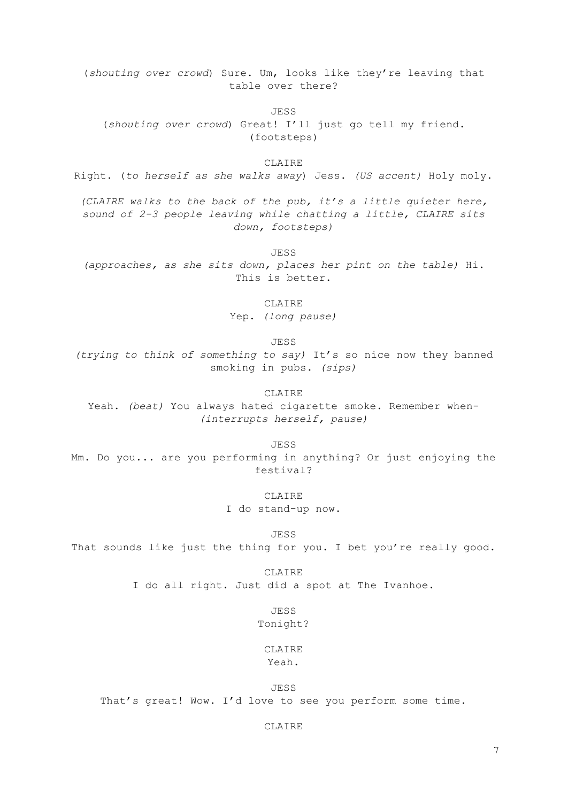(*shouting over crowd*) Sure. Um, looks like they're leaving that table over there?

JESS

(*shouting over crowd*) Great! I'll just go tell my friend. (footsteps)

CLAIRE.

Right. (*to herself as she walks away*) Jess. *(US accent)* Holy moly.

*(CLAIRE walks to the back of the pub, it's a little quieter here, sound of 2-3 people leaving while chatting a little, CLAIRE sits down, footsteps)*

JESS

*(approaches, as she sits down, places her pint on the table)* Hi. This is better.

CLAIRE

Yep. *(long pause)*

JESS

*(trying to think of something to say)* It's so nice now they banned smoking in pubs. *(sips)*

CLAIRE

Yeah. *(beat)* You always hated cigarette smoke. Remember when- *(interrupts herself, pause)*

JESS

Mm. Do you... are you performing in anything? Or just enjoying the festival?

CLAIRE

I do stand-up now.

JESS

That sounds like just the thing for you. I bet you're really good.

CLAIRE I do all right. Just did a spot at The Ivanhoe.

> JESS Tonight?

CLAIRE Yeah.

JESS That's great! Wow. I'd love to see you perform some time.

CLAIRE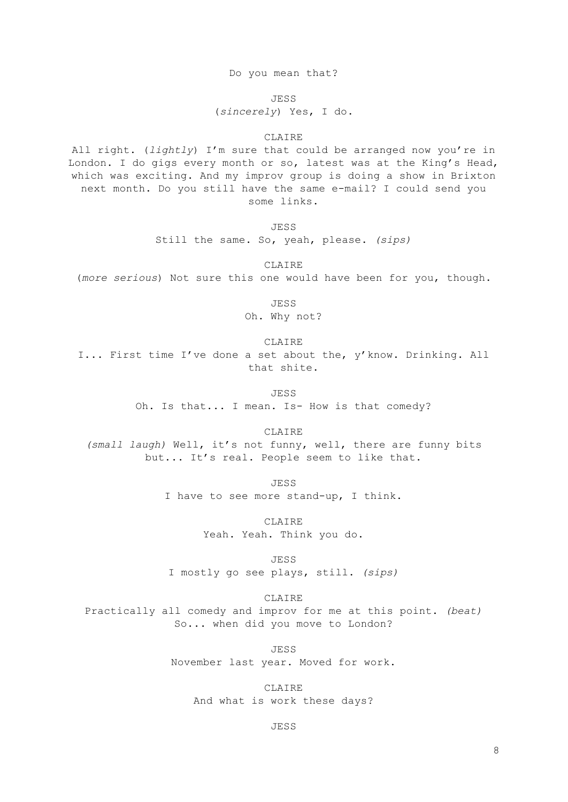Do you mean that?

JESS

(*sincerely*) Yes, I do.

#### CLAIRE

All right. (*lightly*) I'm sure that could be arranged now you're in London. I do gigs every month or so, latest was at the King's Head, which was exciting. And my improv group is doing a show in Brixton next month. Do you still have the same e-mail? I could send you some links.

JESS

Still the same. So, yeah, please. *(sips)*

CLAIRE

(*more serious*) Not sure this one would have been for you, though.

JESS

Oh. Why not?

CLAIRE

I... First time I've done a set about the, y'know. Drinking. All that shite.

JESS

Oh. Is that... I mean. Is- How is that comedy?

CLAIRE

*(small laugh)* Well, it's not funny, well, there are funny bits but... It's real. People seem to like that.

> JESS I have to see more stand-up, I think.

> > CLAIRE Yeah. Yeah. Think you do.

> > > JESS

I mostly go see plays, still. *(sips)*

CLAIRE

Practically all comedy and improv for me at this point. *(beat)* So... when did you move to London?

> JESS November last year. Moved for work.

CLAIRE And what is work these days?

JESS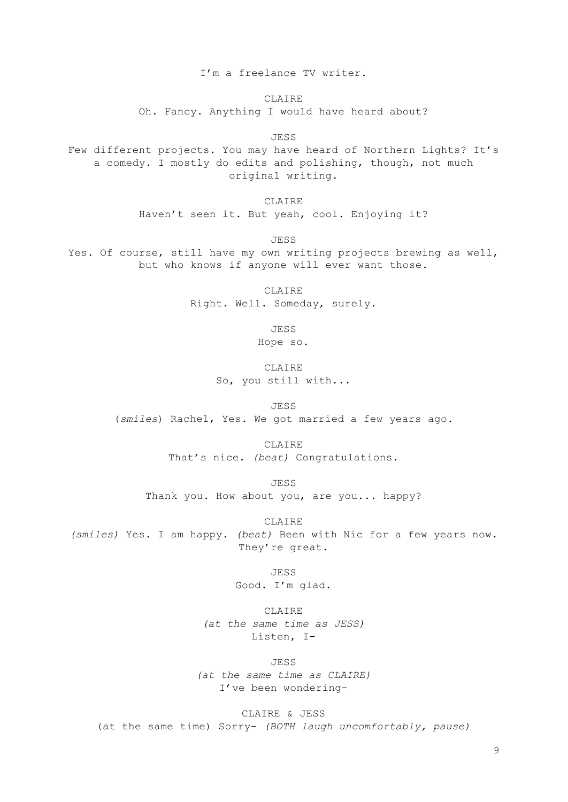I'm a freelance TV writer.

CLAIRE

Oh. Fancy. Anything I would have heard about?

JESS

Few different projects. You may have heard of Northern Lights? It's a comedy. I mostly do edits and polishing, though, not much original writing.

> CLAIRE Haven't seen it. But yeah, cool. Enjoying it?

> > JESS

Yes. Of course, still have my own writing projects brewing as well, but who knows if anyone will ever want those.

> CLAIRE Right. Well. Someday, surely.

> > JESS

Hope so.

**CLAIRE** So, you still with...

JESS (*smiles*) Rachel, Yes. We got married a few years ago.

> CLAIRE That's nice. *(beat)* Congratulations.

JESS Thank you. How about you, are you... happy?

CLAIRE *(smiles)* Yes. I am happy. *(beat)* Been with Nic for a few years now. They're great.

> JESS Good. I'm glad.

CLAIRE *(at the same time as JESS)* Listen, I-

JESS

*(at the same time as CLAIRE)* I've been wondering-

CLAIRE & JESS (at the same time) Sorry- *(BOTH laugh uncomfortably, pause)*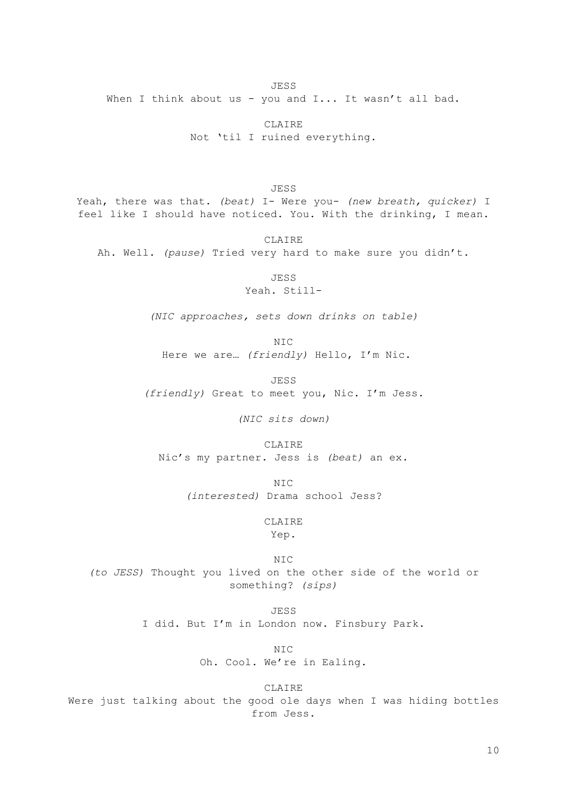When I think about us - you and I... It wasn't all bad.

CLAIRE Not 'til I ruined everything.

JESS Yeah, there was that. *(beat)* I- Were you- *(new breath, quicker)* I feel like I should have noticed. You. With the drinking, I mean.

CLAIRE Ah. Well. *(pause)* Tried very hard to make sure you didn't.

JESS

Yeah. Still-

*(NIC approaches, sets down drinks on table)*

NIC Here we are… *(friendly)* Hello, I'm Nic.

JESS *(friendly)* Great to meet you, Nic. I'm Jess.

*(NIC sits down)*

CLAIRE Nic's my partner. Jess is *(beat)* an ex.

> NIC *(interested)* Drama school Jess?

> > CLAIRE

Yep.

 $NTC$ *(to JESS)* Thought you lived on the other side of the world or something? *(sips)*

> JESS I did. But I'm in London now. Finsbury Park.

> > NIC Oh. Cool. We're in Ealing.

CLAIRE Were just talking about the good ole days when I was hiding bottles from Jess.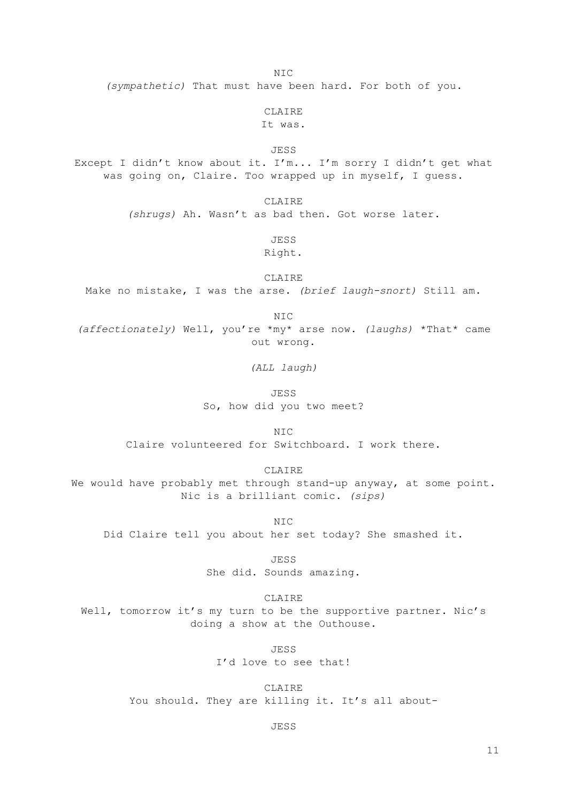$NTC$ 

*(sympathetic)* That must have been hard. For both of you.

CLAIRE

It was.

JESS

Except I didn't know about it. I'm... I'm sorry I didn't get what was going on, Claire. Too wrapped up in myself, I guess.

CLAIRE

*(shrugs)* Ah. Wasn't as bad then. Got worse later.

JESS

Right.

CLAIRE Make no mistake, I was the arse. *(brief laugh-snort)* Still am.

NIC

*(affectionately)* Well, you're \*my\* arse now. *(laughs)* \*That\* came out wrong.

*(ALL laugh)*

JESS So, how did you two meet?

 $NTC$ Claire volunteered for Switchboard. I work there.

CLAIRE

We would have probably met through stand-up anyway, at some point. Nic is a brilliant comic. *(sips)*

NIC Did Claire tell you about her set today? She smashed it.

JESS

She did. Sounds amazing.

CLAIRE

Well, tomorrow it's my turn to be the supportive partner. Nic's doing a show at the Outhouse.

JESS

I'd love to see that!

**CLAIRE** You should. They are killing it. It's all about-

JESS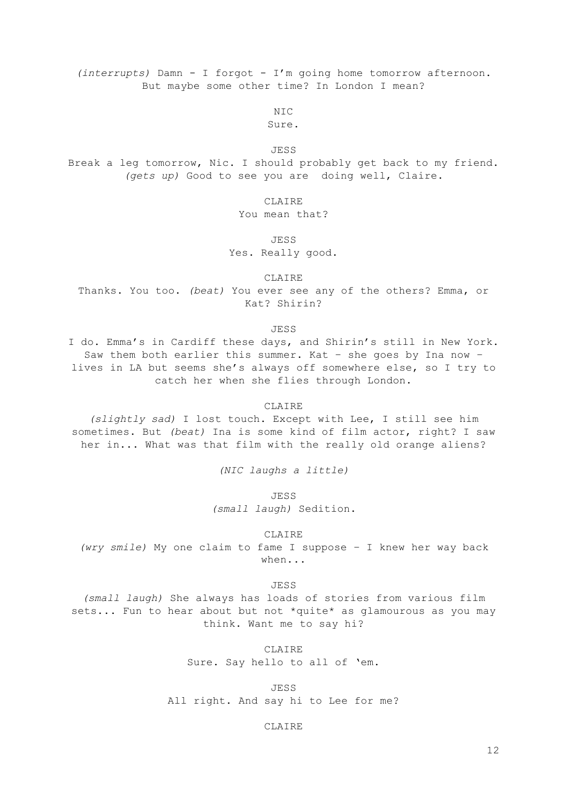*(interrupts)* Damn - I forgot - I'm going home tomorrow afternoon. But maybe some other time? In London I mean?

NIC

Sure.

JESS

Break a leg tomorrow, Nic. I should probably get back to my friend. *(gets up)* Good to see you are doing well, Claire.

CLAIRE

You mean that?

JESS

Yes. Really good.

CLAIRE

Thanks. You too. *(beat)* You ever see any of the others? Emma, or Kat? Shirin?

JESS

I do. Emma's in Cardiff these days, and Shirin's still in New York. Saw them both earlier this summer. Kat – she goes by Ina now – lives in LA but seems she's always off somewhere else, so I try to catch her when she flies through London.

#### CLAIRE

*(slightly sad)* I lost touch. Except with Lee, I still see him sometimes. But *(beat)* Ina is some kind of film actor, right? I saw her in... What was that film with the really old orange aliens?

*(NIC laughs a little)*

JESS

*(small laugh)* Sedition.

CLAIRE

*(wry smile)* My one claim to fame I suppose – I knew her way back when...

JESS

*(small laugh)* She always has loads of stories from various film sets... Fun to hear about but not \*quite\* as glamourous as you may think. Want me to say hi?

CLAIRE

Sure. Say hello to all of 'em.

JESS All right. And say hi to Lee for me?

CLAIRE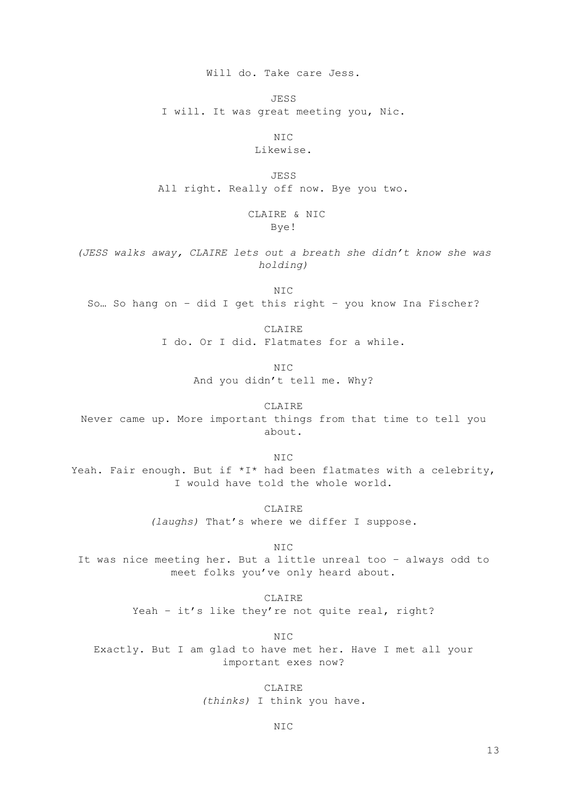Will do. Take care Jess.

JESS

I will. It was great meeting you, Nic.

NIC

Likewise.

JESS All right. Really off now. Bye you two.

## CLAIRE & NIC Bye!

*(JESS walks away, CLAIRE lets out a breath she didn't know she was holding)*

NIC So… So hang on – did I get this right – you know Ina Fischer?

> CLAIRE I do. Or I did. Flatmates for a while.

> > NIC And you didn't tell me. Why?

CLAIRE Never came up. More important things from that time to tell you about.

NIC Yeah. Fair enough. But if \*I\* had been flatmates with a celebrity, I would have told the whole world.

> CLAIRE *(laughs)* That's where we differ I suppose.

> > NIC

It was nice meeting her. But a little unreal too – always odd to meet folks you've only heard about.

> CLAIRE Yeah - it's like they're not quite real, right?

> > NIC

Exactly. But I am glad to have met her. Have I met all your important exes now?

> CLAIRE *(thinks)* I think you have.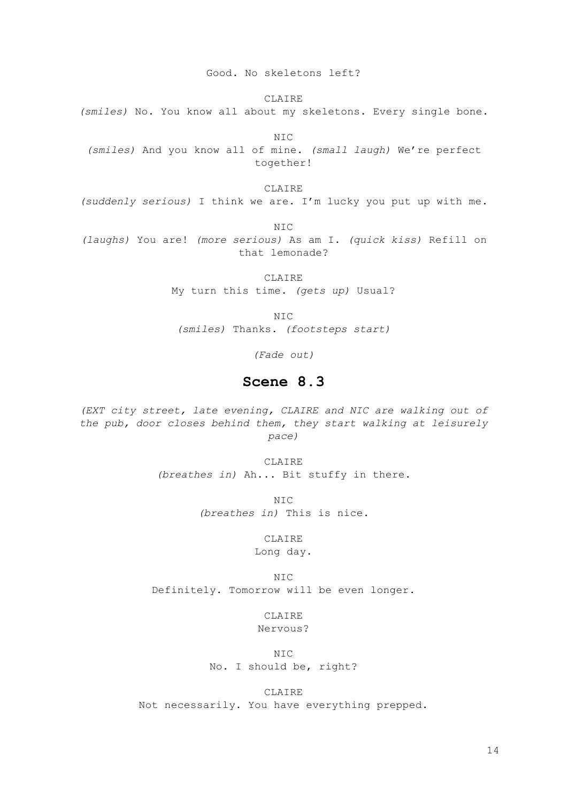Good. No skeletons left?

CLAIRE *(smiles)* No. You know all about my skeletons. Every single bone.

NIC *(smiles)* And you know all of mine. *(small laugh)* We're perfect together!

CLAIRE *(suddenly serious)* I think we are. I'm lucky you put up with me.

NIC

*(laughs)* You are! *(more serious)* As am I. *(quick kiss)* Refill on that lemonade?

> CLAIRE My turn this time. *(gets up)* Usual?

> > NIC

*(smiles)* Thanks. *(footsteps start)*

*(Fade out)*

## **Scene 8.3**

*(EXT city street, late evening, CLAIRE and NIC are walking out of the pub, door closes behind them, they start walking at leisurely pace)*

> CLAIRE *(breathes in)* Ah... Bit stuffy in there.

> > NIC *(breathes in)* This is nice.

> > > CLAIRE

Long day.

NIC Definitely. Tomorrow will be even longer.

> **CLAIRE** Nervous?

NIC No. I should be, right?

CLAIRE

Not necessarily. You have everything prepped.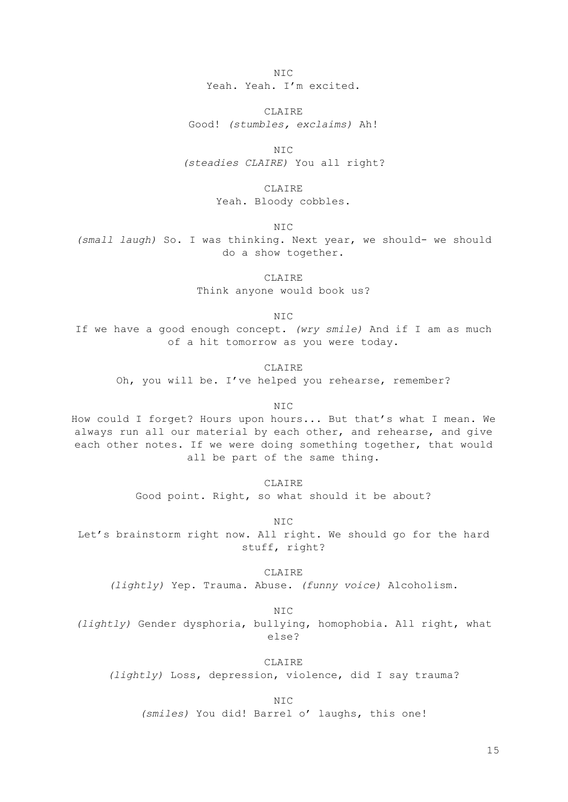$NTC$ 

Yeah. Yeah. I'm excited.

CLAIRE Good! *(stumbles, exclaims)* Ah!

N<sub>TC</sub> *(steadies CLAIRE)* You all right?

> CLAIRE Yeah. Bloody cobbles.

> > NIC

*(small laugh)* So. I was thinking. Next year, we should- we should do a show together.

CLAIRE

Think anyone would book us?

NIC

If we have a good enough concept. *(wry smile)* And if I am as much of a hit tomorrow as you were today.

**CLAIRE** 

Oh, you will be. I've helped you rehearse, remember?

NIC

How could I forget? Hours upon hours... But that's what I mean. We always run all our material by each other, and rehearse, and give each other notes. If we were doing something together, that would all be part of the same thing.

CLAIRE

Good point. Right, so what should it be about?

NIC Let's brainstorm right now. All right. We should go for the hard stuff, right?

> CLAIRE *(lightly)* Yep. Trauma. Abuse. *(funny voice)* Alcoholism.

> > NIC

*(lightly)* Gender dysphoria, bullying, homophobia. All right, what else?

CLAIRE

*(lightly)* Loss, depression, violence, did I say trauma?

NIC

*(smiles)* You did! Barrel o' laughs, this one!